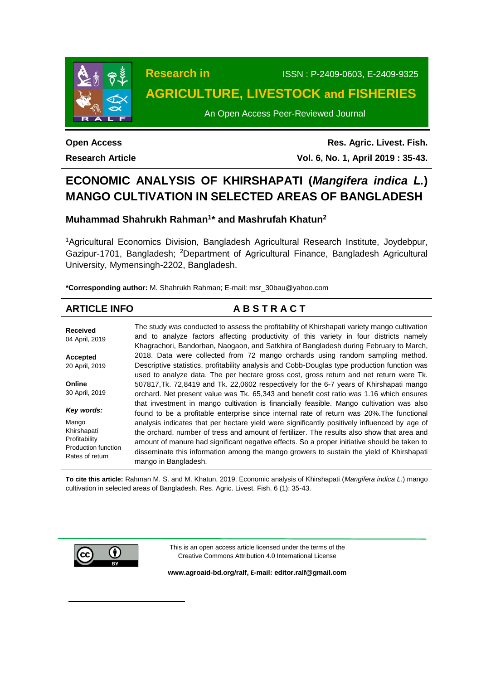

# **Research in** ISSN : P-2409-0603, E-2409-9325 **AGRICULTURE, LIVESTOCK and FISHERIES**

An Open Access Peer-Reviewed Journal

**Open Access Research Article**

**Res. Agric. Livest. Fish. Vol. 6, No. 1, April 2019 : 35-43.**

# **ECONOMIC ANALYSIS OF KHIRSHAPATI (***Mangifera indica L.***) MANGO CULTIVATION IN SELECTED AREAS OF BANGLADESH**

## **Muhammad Shahrukh Rahman<sup>1</sup> \* and Mashrufah Khatun<sup>2</sup>**

<sup>1</sup>Agricultural Economics Division, Bangladesh Agricultural Research Institute, Joydebpur, Gazipur-1701, Bangladesh; <sup>2</sup>Department of Agricultural Finance, Bangladesh Agricultural University, Mymensingh-2202, Bangladesh.

**\*Corresponding author:** M. Shahrukh Rahman; E-mail: msr\_30bau@yahoo.com

## **ARTICLE INFO A B S T R A C T**

| <b>Received</b><br>04 April, 2019 | The study was conducted to assess the profitability of Khirshapati variety mango cultivation<br>and to analyze factors affecting productivity of this variety in four districts namely<br>Khagrachori, Bandorban, Naogaon, and Satkhira of Bangladesh during February to March, |
|-----------------------------------|---------------------------------------------------------------------------------------------------------------------------------------------------------------------------------------------------------------------------------------------------------------------------------|
| Accepted                          | 2018. Data were collected from 72 mango orchards using random sampling method.                                                                                                                                                                                                  |
| 20 April, 2019                    | Descriptive statistics, profitability analysis and Cobb-Douglas type production function was                                                                                                                                                                                    |
|                                   | used to analyze data. The per hectare gross cost, gross return and net return were Tk.                                                                                                                                                                                          |
| Online                            | 507817, Tk. 72,8419 and Tk. 22,0602 respectively for the 6-7 years of Khirshapati mango                                                                                                                                                                                         |
| 30 April, 2019                    | orchard. Net present value was Tk. 65,343 and benefit cost ratio was 1.16 which ensures                                                                                                                                                                                         |
|                                   | that investment in mango cultivation is financially feasible. Mango cultivation was also                                                                                                                                                                                        |
| Key words:                        | found to be a profitable enterprise since internal rate of return was 20%. The functional                                                                                                                                                                                       |
| Mango                             | analysis indicates that per hectare yield were significantly positively influenced by age of                                                                                                                                                                                    |
| Khirshapati                       | the orchard, number of tress and amount of fertilizer. The results also show that area and                                                                                                                                                                                      |
| Profitability                     | amount of manure had significant negative effects. So a proper initiative should be taken to                                                                                                                                                                                    |
| Production function               |                                                                                                                                                                                                                                                                                 |
| Rates of return                   | disseminate this information among the mango growers to sustain the yield of Khirshapati                                                                                                                                                                                        |
|                                   | mango in Bangladesh.                                                                                                                                                                                                                                                            |

**To cite this article:** Rahman M. S. and M. Khatun, 2019. Economic analysis of Khirshapati (*Mangifera indica L.*) mango cultivation in selected areas of Bangladesh. Res. Agric. Livest. Fish. 6 (1): 35-43.



 $\overline{a}$ 

This is an open access article licensed under the terms of the Creative Commons Attribution 4.0 International License

**[www.agroaid-bd.org/ralf,](http://www.agroaid-bd.org/ralf) E-mail[: editor.ralf@gmail.com](mailto:editor.ralf@gmail.com)**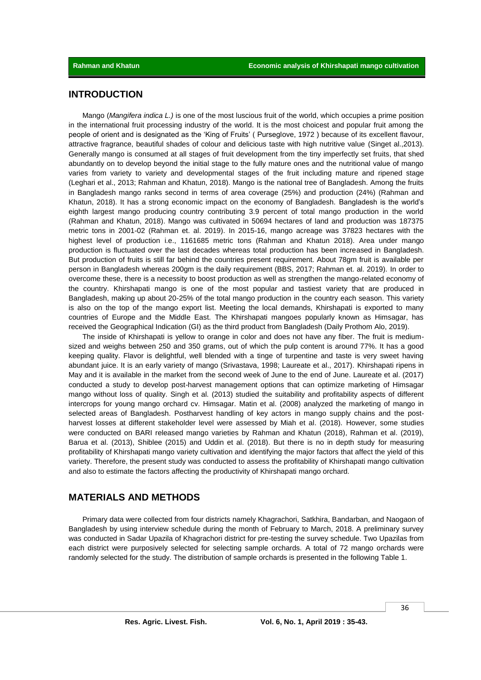## **INTRODUCTION**

Mango (*Mangifera indica L.)* is one of the most luscious fruit of the world, which occupies a prime position in the international fruit processing industry of the world. It is the most choicest and popular fruit among the people of orient and is designated as the 'King of Fruits' ( Purseglove, 1972 ) because of its excellent flavour, attractive fragrance, beautiful shades of colour and delicious taste with high nutritive value (Singet al.,2013). Generally mango is consumed at all stages of fruit development from the tiny imperfectly set fruits, that shed abundantly on to develop beyond the initial stage to the fully mature ones and the nutritional value of mango varies from variety to variety and developmental stages of the fruit including mature and ripened stage (Leghari et al., 2013; Rahman and Khatun, 2018). Mango is the national tree of Bangladesh. Among the fruits in Bangladesh mango ranks second in terms of area coverage (25%) and production (24%) (Rahman and Khatun, 2018). It has a strong economic impact on the economy of Bangladesh. Bangladesh is the world's eighth largest mango producing country contributing 3.9 percent of total mango production in the world (Rahman and Khatun, 2018). Mango was cultivated in 50694 hectares of land and production was 187375 metric tons in 2001-02 (Rahman et. al. 2019). In 2015-16, mango acreage was 37823 hectares with the highest level of production i.e., 1161685 metric tons (Rahman and Khatun 2018). Area under mango production is fluctuated over the last decades whereas total production has been increased in Bangladesh. But production of fruits is still far behind the countries present requirement. About 78gm fruit is available per person in Bangladesh whereas 200gm is the daily requirement (BBS, 2017; Rahman et. al. 2019). In order to overcome these, there is a necessity to boost production as well as strengthen the mango-related economy of the country. Khirshapati mango is one of the most popular and tastiest variety that are produced in Bangladesh, making up about 20-25% of the total mango production in the country each season. This variety is also on the top of the mango export list. Meeting the local demands, Khirshapati is exported to many countries of Europe and the Middle East. The Khirshapati mangoes popularly known as Himsagar, has received the Geographical Indication (GI) as the third product from Bangladesh (Daily Prothom Alo, 2019).

The inside of Khirshapati is yellow to orange in color and does not have any fiber. The fruit is mediumsized and weighs between 250 and 350 grams, out of which the pulp content is around 77%. It has a good keeping quality. Flavor is delightful, well blended with a tinge of turpentine and taste is very sweet having abundant juice. It is an early variety of mango (Srivastava, 1998; Laureate et al., 2017). Khirshapati ripens in May and it is available in the market from the second week of June to the end of June. Laureate et al. (2017) conducted a study to develop post-harvest management options that can optimize marketing of Himsagar mango without loss of quality. Singh et al. (2013) studied the suitability and profitability aspects of different intercrops for young mango orchard cv. Himsagar. Matin et al. (2008) analyzed the marketing of mango in selected areas of Bangladesh. Postharvest handling of key actors in mango supply chains and the postharvest losses at different stakeholder level were assessed by Miah et al. (2018). However, some studies were conducted on BARI released mango varieties by Rahman and Khatun (2018), Rahman et al. (2019), Barua et al. (2013), Shiblee (2015) and Uddin et al. (2018). But there is no in depth study for measuring profitability of Khirshapati mango variety cultivation and identifying the major factors that affect the yield of this variety. Therefore, the present study was conducted to assess the profitability of Khirshapati mango cultivation and also to estimate the factors affecting the productivity of Khirshapati mango orchard.

## **MATERIALS AND METHODS**

Primary data were collected from four districts namely Khagrachori, Satkhira, Bandarban, and Naogaon of Bangladesh by using interview schedule during the month of February to March, 2018. A preliminary survey was conducted in Sadar Upazila of Khagrachori district for pre-testing the survey schedule. Two Upazilas from each district were purposively selected for selecting sample orchards. A total of 72 mango orchards were randomly selected for the study. The distribution of sample orchards is presented in the following Table 1.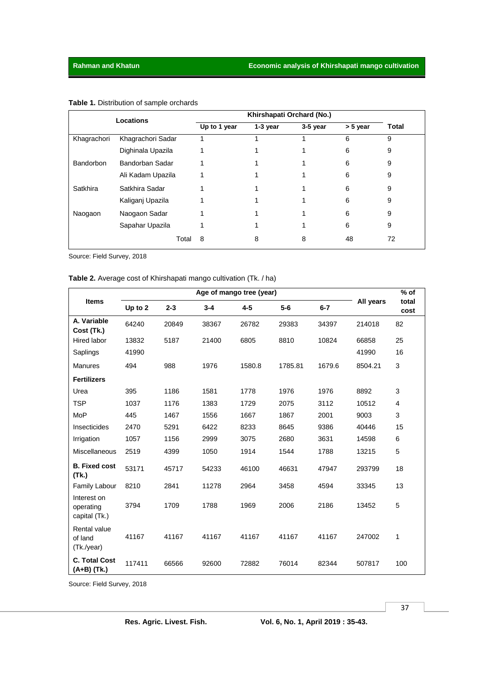| Locations   |                   |              |          |          |          |       |
|-------------|-------------------|--------------|----------|----------|----------|-------|
|             |                   | Up to 1 year | 1-3 year | 3-5 year | > 5 year | Total |
| Khagrachori | Khagrachori Sadar |              |          |          | 6        | 9     |
|             | Dighinala Upazila |              |          |          | 6        | 9     |
| Bandorbon   | Bandorban Sadar   |              |          |          | 6        | 9     |
|             | Ali Kadam Upazila |              |          |          | 6        | 9     |
| Satkhira    | Satkhira Sadar    |              |          |          | 6        | 9     |
|             | Kaliganj Upazila  |              |          |          | 6        | 9     |
| Naogaon     | Naogaon Sadar     |              |          |          | 6        | 9     |
|             | Sapahar Upazila   |              |          |          | 6        | 9     |
|             | Total             | 8            | 8        | 8        | 48       | 72    |

## **Table 1.** Distribution of sample orchards

Source: Field Survey, 2018

## **Table 2.** Average cost of Khirshapati mango cultivation (Tk. / ha)

|                                           | Age of mango tree (year) |         |         |         |         |         |           | $%$ of        |
|-------------------------------------------|--------------------------|---------|---------|---------|---------|---------|-----------|---------------|
| <b>Items</b>                              | Up to 2                  | $2 - 3$ | $3 - 4$ | $4 - 5$ | $5-6$   | $6 - 7$ | All years | total<br>cost |
| A. Variable<br>Cost (Tk.)                 | 64240                    | 20849   | 38367   | 26782   | 29383   | 34397   | 214018    | 82            |
| Hired labor                               | 13832                    | 5187    | 21400   | 6805    | 8810    | 10824   | 66858     | 25            |
| Saplings                                  | 41990                    |         |         |         |         |         | 41990     | 16            |
| <b>Manures</b>                            | 494                      | 988     | 1976    | 1580.8  | 1785.81 | 1679.6  | 8504.21   | 3             |
| <b>Fertilizers</b>                        |                          |         |         |         |         |         |           |               |
| Urea                                      | 395                      | 1186    | 1581    | 1778    | 1976    | 1976    | 8892      | 3             |
| <b>TSP</b>                                | 1037                     | 1176    | 1383    | 1729    | 2075    | 3112    | 10512     | 4             |
| <b>MoP</b>                                | 445                      | 1467    | 1556    | 1667    | 1867    | 2001    | 9003      | 3             |
| Insecticides                              | 2470                     | 5291    | 6422    | 8233    | 8645    | 9386    | 40446     | 15            |
| Irrigation                                | 1057                     | 1156    | 2999    | 3075    | 2680    | 3631    | 14598     | 6             |
| <b>Miscellaneous</b>                      | 2519                     | 4399    | 1050    | 1914    | 1544    | 1788    | 13215     | 5             |
| <b>B.</b> Fixed cost<br>(Tk.)             | 53171                    | 45717   | 54233   | 46100   | 46631   | 47947   | 293799    | 18            |
| Family Labour                             | 8210                     | 2841    | 11278   | 2964    | 3458    | 4594    | 33345     | 13            |
| Interest on<br>operating<br>capital (Tk.) | 3794                     | 1709    | 1788    | 1969    | 2006    | 2186    | 13452     | 5             |
| Rental value<br>of land<br>(Tk./year)     | 41167                    | 41167   | 41167   | 41167   | 41167   | 41167   | 247002    | 1             |
| <b>C. Total Cost</b><br>(A+B) (Tk.)       | 117411                   | 66566   | 92600   | 72882   | 76014   | 82344   | 507817    | 100           |

Source: Field Survey, 2018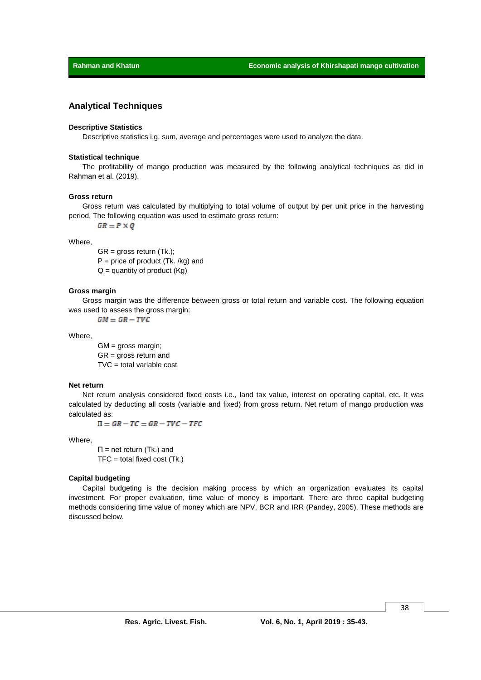#### **Analytical Techniques**

#### **Descriptive Statistics**

Descriptive statistics i.g. sum, average and percentages were used to analyze the data.

#### **Statistical technique**

The profitability of mango production was measured by the following analytical techniques as did in Rahman et al. (2019).

#### **Gross return**

Gross return was calculated by multiplying to total volume of output by per unit price in the harvesting period. The following equation was used to estimate gross return:

 $GR = P \times Q$ 

Where,

 $GR = gross$  return  $(Tk.);$  $P = price of product (Tk. /kg) and$  $Q =$  quantity of product (Kg)

#### **Gross margin**

Gross margin was the difference between gross or total return and variable cost. The following equation was used to assess the gross margin:

 $GM = GR - TVC$ 

Where,

 $GM =$  gross margin; GR = gross return and  $TVC = total variable cost$ 

#### **Net return**

Net return analysis considered fixed costs i.e., land tax value, interest on operating capital, etc. It was calculated by deducting all costs (variable and fixed) from gross return. Net return of mango production was calculated as:

 $\Pi = GR - TC = GR - TVC - TFC$ 

Where,

Π = net return (Tk.) and  $TFC = total fixed cost (Tk.)$ 

#### **Capital budgeting**

Capital budgeting is the decision making process by which an organization evaluates its capital investment. For proper evaluation, time value of money is important. There are three capital budgeting methods considering time value of money which are NPV, BCR and IRR (Pandey, 2005). These methods are discussed below.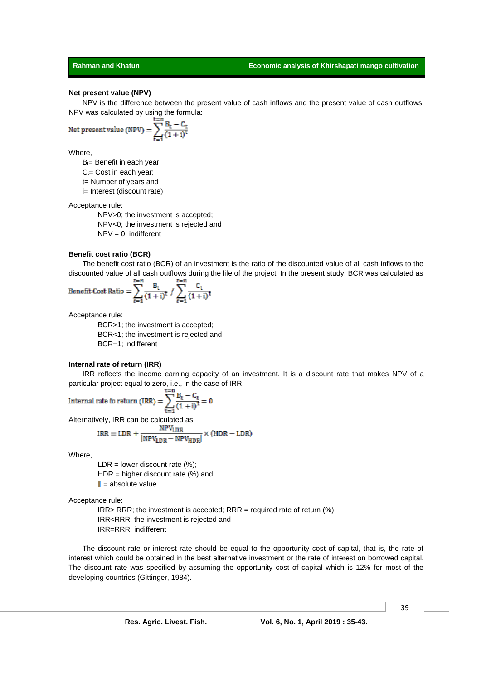**Rahman and Khatun Economic analysis of Khirshapati mango cultivation** 

#### **Net present value (NPV)**

NPV is the difference between the present value of cash inflows and the present value of cash outflows. NPV was calculated by using the formula:

$$
Net present value (NPV) = \sum_{t=1}^{t=n} \frac{B_t - C_t}{(1 + i)^t}
$$

Where,

 $B_t =$  Benefit in each year;  $C_t$ = Cost in each year; t= Number of years and i= Interest (discount rate)

Acceptance rule:

NPV>0; the investment is accepted; NPV<0; the investment is rejected and  $NPV = 0$ ; indifferent

#### **Benefit cost ratio (BCR)**

The benefit cost ratio (BCR) of an investment is the ratio of the discounted value of all cash inflows to the discounted value of all cash outflows during the life of the project. In the present study, BCR was calculated as

Benefit Cost Ratio = 
$$
\sum_{t=1}^{t=n} \frac{B_t}{(1+i)^t} / \sum_{t=1}^{t=n} \frac{C_t}{(1+i)^t}
$$

Acceptance rule:

BCR>1; the investment is accepted; BCR<1; the investment is rejected and BCR=1; indifferent

#### **Internal rate of return (IRR)**

IRR reflects the income earning capacity of an investment. It is a discount rate that makes NPV of a particular project equal to zero, i.e., in the case of IRR,

Internal rate for return (IRR) = 
$$
\sum_{t=1}^{t=n} \frac{B_t - C_t}{(1+i)^t} = 0
$$

Alternatively, IRR can be calculated as

$$
IRR = LDR + \frac{NPV_{LDR}}{|NPV_{LDR} - NPV_{HDR}|} \times (HDR - LDR)
$$

Where,

 $LDR = lower discount rate (%)$ ;  $HDR = higher$  discount rate  $%$  and  $\parallel$  = absolute value

Acceptance rule:

 $IRR > RRR$ ; the investment is accepted;  $RRR =$  required rate of return (%); IRR<RRR; the investment is rejected and IRR=RRR; indifferent

The discount rate or interest rate should be equal to the opportunity cost of capital, that is, the rate of interest which could be obtained in the best alternative investment or the rate of interest on borrowed capital. The discount rate was specified by assuming the opportunity cost of capital which is 12% for most of the developing countries (Gittinger, 1984).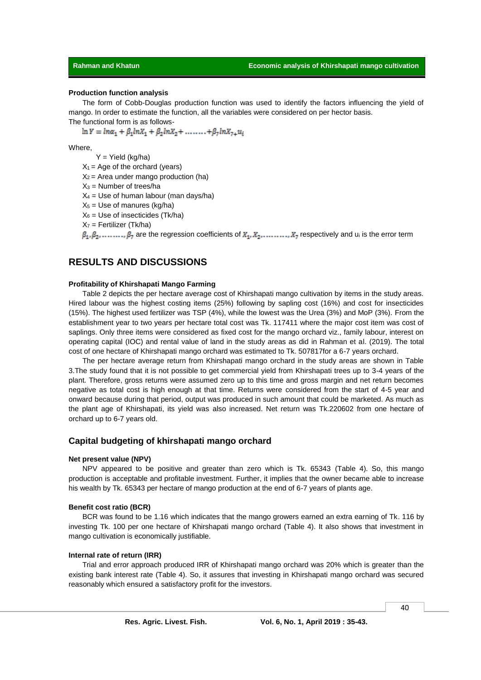#### **Production function analysis**

The form of Cobb-Douglas production function was used to identify the factors influencing the yield of mango. In order to estimate the function, all the variables were considered on per hector basis. The functional form is as follows-

 $\ln Y = \ln \alpha_1 + \beta_1 \ln X_1 + \beta_2 \ln X_2 + \ldots + \beta_7 \ln X_7 + u_i$ 

Where,

 $Y =$  Yield (kg/ha)

 $X_1$  = Age of the orchard (years)

 $X_2$  = Area under mango production (ha)

 $X_3$  = Number of trees/ha

 $X_4$  = Use of human labour (man days/ha)

 $X_5$  = Use of manures (kg/ha)

 $X_6$  = Use of insecticides (Tk/ha)

 $X_7$  = Fertilizer (Tk/ha)

 $\beta_1, \beta_2, \ldots, \beta_7$  are the regression coefficients of  $X_1, X_2, \ldots, X_7$  respectively and u<sub>i</sub> is the error term

## **RESULTS AND DISCUSSIONS**

#### **Profitability of Khirshapati Mango Farming**

Table 2 depicts the per hectare average cost of Khirshapati mango cultivation by items in the study areas. Hired labour was the highest costing items (25%) following by sapling cost (16%) and cost for insecticides (15%). The highest used fertilizer was TSP (4%), while the lowest was the Urea (3%) and MoP (3%). From the establishment year to two years per hectare total cost was Tk. 117411 where the major cost item was cost of saplings. Only three items were considered as fixed cost for the mango orchard viz., family labour, interest on operating capital (IOC) and rental value of land in the study areas as did in Rahman et al. (2019). The total cost of one hectare of Khirshapati mango orchard was estimated to Tk. 507817for a 6-7 years orchard.

The per hectare average return from Khirshapati mango orchard in the study areas are shown in Table 3.The study found that it is not possible to get commercial yield from Khirshapati trees up to 3-4 years of the plant. Therefore, gross returns were assumed zero up to this time and gross margin and net return becomes negative as total cost is high enough at that time. Returns were considered from the start of 4-5 year and onward because during that period, output was produced in such amount that could be marketed. As much as the plant age of Khirshapati, its yield was also increased. Net return was Tk.220602 from one hectare of orchard up to 6-7 years old.

### **Capital budgeting of khirshapati mango orchard**

#### **Net present value (NPV)**

NPV appeared to be positive and greater than zero which is Tk. 65343 (Table 4). So, this mango production is acceptable and profitable investment. Further, it implies that the owner became able to increase his wealth by Tk. 65343 per hectare of mango production at the end of 6-7 years of plants age.

#### **Benefit cost ratio (BCR)**

BCR was found to be 1.16 which indicates that the mango growers earned an extra earning of Tk. 116 by investing Tk. 100 per one hectare of Khirshapati mango orchard (Table 4). It also shows that investment in mango cultivation is economically justifiable.

#### **Internal rate of return (IRR)**

Trial and error approach produced IRR of Khirshapati mango orchard was 20% which is greater than the existing bank interest rate (Table 4). So, it assures that investing in Khirshapati mango orchard was secured reasonably which ensured a satisfactory profit for the investors.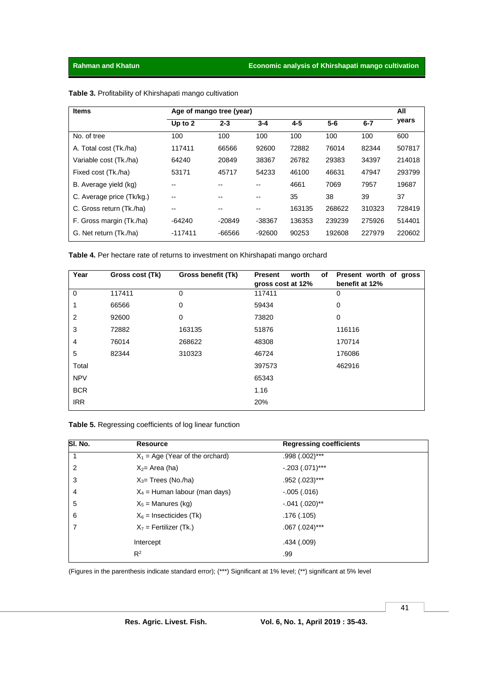| <b>Items</b>              | Age of mango tree (year) |          |         |         |        |         |        |
|---------------------------|--------------------------|----------|---------|---------|--------|---------|--------|
|                           | Up to 2                  | $2 - 3$  | $3 - 4$ | $4 - 5$ | $5-6$  | $6 - 7$ | years  |
| No. of tree               | 100                      | 100      | 100     | 100     | 100    | 100     | 600    |
| A. Total cost (Tk./ha)    | 117411                   | 66566    | 92600   | 72882   | 76014  | 82344   | 507817 |
| Variable cost (Tk./ha)    | 64240                    | 20849    | 38367   | 26782   | 29383  | 34397   | 214018 |
| Fixed cost (Tk./ha)       | 53171                    | 45717    | 54233   | 46100   | 46631  | 47947   | 293799 |
| B. Average yield (kg)     | --                       | --       | --      | 4661    | 7069   | 7957    | 19687  |
| C. Average price (Tk/kg.) | --                       | --       | --      | 35      | 38     | 39      | 37     |
| C. Gross return (Tk./ha)  | --                       | --       | --      | 163135  | 268622 | 310323  | 728419 |
| F. Gross margin (Tk./ha)  | -64240                   | -20849   | -38367  | 136353  | 239239 | 275926  | 514401 |
| G. Net return (Tk./ha)    | $-117411$                | $-66566$ | -92600  | 90253   | 192608 | 227979  | 220602 |

**Table 3.** Profitability of Khirshapati mango cultivation

**Table 4.** Per hectare rate of returns to investment on Khirshapati mango orchard

| Year           | Gross cost (Tk) | Gross benefit (Tk) | worth<br>of<br><b>Present</b><br>gross cost at 12% | Present worth of gross<br>benefit at 12% |
|----------------|-----------------|--------------------|----------------------------------------------------|------------------------------------------|
| $\mathbf 0$    | 117411          | 0                  | 117411                                             | 0                                        |
| 1              | 66566           | 0                  | 59434                                              | 0                                        |
| $\overline{2}$ | 92600           | 0                  | 73820                                              | 0                                        |
| 3              | 72882           | 163135             | 51876                                              | 116116                                   |
| $\overline{4}$ | 76014           | 268622             | 48308                                              | 170714                                   |
| 5              | 82344           | 310323             | 46724                                              | 176086                                   |
| Total          |                 |                    | 397573                                             | 462916                                   |
| <b>NPV</b>     |                 |                    | 65343                                              |                                          |
| <b>BCR</b>     |                 |                    | 1.16                                               |                                          |
| <b>IRR</b>     |                 |                    | 20%                                                |                                          |

**Table 5.** Regressing coefficients of log linear function

| SI. No. | <b>Resource</b>                   | <b>Regressing coefficients</b> |  |
|---------|-----------------------------------|--------------------------------|--|
| 1       | $X_1$ = Age (Year of the orchard) | .998 (.002)***                 |  |
| 2       | $X_2$ = Area (ha)                 | $-.203(.071)***$               |  |
| 3       | $X_3$ = Trees (No./ha)            | .952 (.023)***                 |  |
| 4       | $X_4$ = Human labour (man days)   | $-.005(.016)$                  |  |
| 5       | $X_5$ = Manures (kg)              | $-.041(.020)$ **               |  |
| 6       | $X_6$ = Insecticides (Tk)         | .176 (.105)                    |  |
| 7       | $X_7$ = Fertilizer (Tk.)          | $.067$ $(.024)$ ***            |  |
|         | Intercept                         | .434 (.009)                    |  |
|         | $R^2$                             | .99                            |  |
|         |                                   |                                |  |

(Figures in the parenthesis indicate standard error); (\*\*\*) Significant at 1% level; (\*\*) significant at 5% level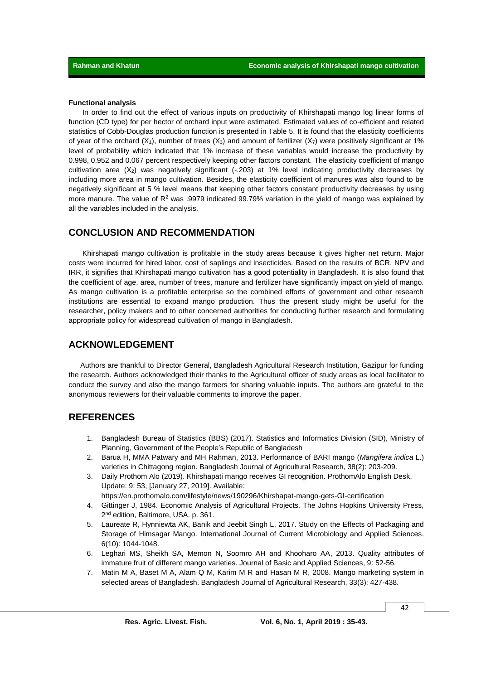#### **Functional analysis**

In order to find out the effect of various inputs on productivity of Khirshapati mango log linear forms of function (CD type) for per hector of orchard input were estimated. Estimated values of co-efficient and related statistics of Cobb-Douglas production function is presented in Table 5. It is found that the elasticity coefficients of year of the orchard  $(X_1)$ , number of trees  $(X_3)$  and amount of fertilizer  $(X_7)$  were positively significant at 1% level of probability which indicated that 1% increase of these variables would increase the productivity by 0.998, 0.952 and 0.067 percent respectively keeping other factors constant. The elasticity coefficient of mango cultivation area  $(X_2)$  was negatively significant  $(-.203)$  at 1% level indicating productivity decreases by including more area in mango cultivation. Besides, the elasticity coefficient of manures was also found to be negatively significant at 5 % level means that keeping other factors constant productivity decreases by using more manure. The value of  $R^2$  was .9979 indicated 99.79% variation in the yield of mango was explained by all the variables included in the analysis.

## **CONCLUSION AND RECOMMENDATION**

Khirshapati mango cultivation is profitable in the study areas because it gives higher net return. Major costs were incurred for hired labor, cost of saplings and insecticides. Based on the results of BCR, NPV and IRR, it signifies that Khirshapati mango cultivation has a good potentiality in Bangladesh. It is also found that the coefficient of age, area, number of trees, manure and fertilizer have significantly impact on yield of mango. As mango cultivation is a profitable enterprise so the combined efforts of government and other research institutions are essential to expand mango production. Thus the present study might be useful for the researcher, policy makers and to other concerned authorities for conducting further research and formulating appropriate policy for widespread cultivation of mango in Bangladesh.

## **ACKNOWLEDGEMENT**

Authors are thankful to Director General, Bangladesh Agricultural Research Institution, Gazipur for funding the research. Authors acknowledged their thanks to the Agricultural officer of study areas as local facilitator to conduct the survey and also the mango farmers for sharing valuable inputs. The authors are grateful to the anonymous reviewers for their valuable comments to improve the paper.

## **REFERENCES**

- 1. Bangladesh Bureau of Statistics (BBS) (2017). Statistics and Informatics Division (SID), Ministry of Planning, Government of the People's Republic of Bangladesh
- 2. Barua H, MMA Patwary and MH Rahman, 2013. Performance of BARI mango (*Mangifera indica* L.) varieties in Chittagong region. Bangladesh Journal of Agricultural Research, 38(2): 203-209.
- 3. Daily Prothom Alo (2019). Khirshapati mango receives GI recognition. ProthomAlo English Desk, Update: 9: 53, [January 27, 2019]. Available: https://en.prothomalo.com/lifestyle/news/190296/Khirshapat-mango-gets-GI-certification
- 4. Gittinger J, 1984. Economic Analysis of Agricultural Projects. The Johns Hopkins University Press, 2<sup>nd</sup> edition, Baltimore, USA. p. 361.
- 5. Laureate R, Hynniewta AK, Banik and Jeebit Singh L, 2017. Study on the Effects of Packaging and Storage of Himsagar Mango. International Journal of Current Microbiology and Applied Sciences. 6(10): 1044-1048.
- 6. Leghari MS, Sheikh SA, Memon N, Soomro AH and Khooharo AA, 2013. Quality attributes of immature fruit of different mango varieties. Journal of Basic and Applied Sciences, 9: 52-56.
- 7. Matin M A, Baset M A, Alam Q M, Karim M R and Hasan M R, 2008. Mango marketing system in selected areas of Bangladesh. Bangladesh Journal of Agricultural Research, 33(3): 427-438.